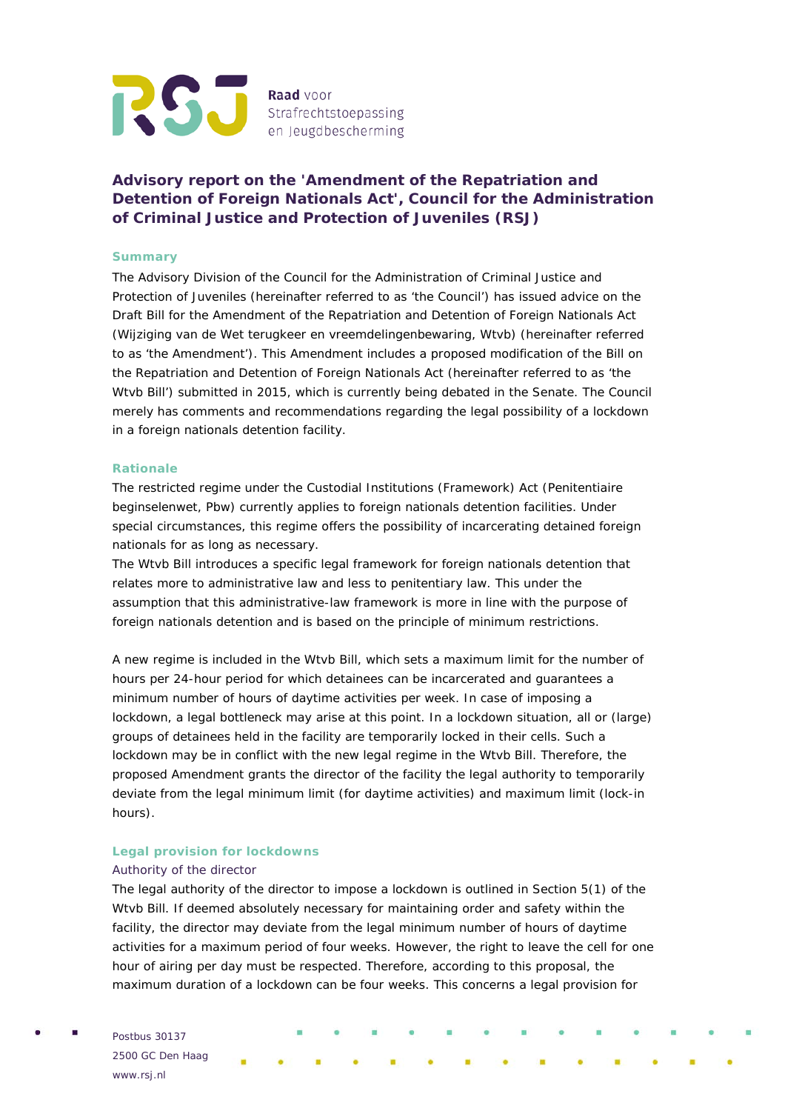

# **Advisory report on the 'Amendment of the Repatriation and Detention of Foreign Nationals Act', Council for the Administration of Criminal Justice and Protection of Juveniles (RSJ)**

## **Summary**

The Advisory Division of the Council for the Administration of Criminal Justice and Protection of Juveniles (hereinafter referred to as 'the Council') has issued advice on the Draft Bill for the Amendment of the Repatriation and Detention of Foreign Nationals Act (Wijziging van de Wet terugkeer en vreemdelingenbewaring, Wtvb) (hereinafter referred to as 'the Amendment'). This Amendment includes a proposed modification of the Bill on the Repatriation and Detention of Foreign Nationals Act (hereinafter referred to as 'the Wtvb Bill') submitted in 2015, which is currently being debated in the Senate. The Council merely has comments and recommendations regarding the legal possibility of a lockdown in a foreign nationals detention facility.

### **Rationale**

The restricted regime under the Custodial Institutions (Framework) Act (Penitentiaire beginselenwet, Pbw) currently applies to foreign nationals detention facilities. Under special circumstances, this regime offers the possibility of incarcerating detained foreign nationals for as long as necessary.

The Wtvb Bill introduces a specific legal framework for foreign nationals detention that relates more to administrative law and less to penitentiary law. This under the assumption that this administrative-law framework is more in line with the purpose of foreign nationals detention and is based on the principle of minimum restrictions.

A new regime is included in the Wtvb Bill, which sets a maximum limit for the number of hours per 24-hour period for which detainees can be incarcerated and guarantees a minimum number of hours of daytime activities per week. In case of imposing a lockdown, a legal bottleneck may arise at this point. In a lockdown situation, all or (large) groups of detainees held in the facility are temporarily locked in their cells. Such a lockdown may be in conflict with the new legal regime in the Wtvb Bill. Therefore, the proposed Amendment grants the director of the facility the legal authority to temporarily deviate from the legal minimum limit (for daytime activities) and maximum limit (lock-in hours).

# **Legal provision for lockdowns**

# *Authority of the director*

The legal authority of the director to impose a lockdown is outlined in Section 5(1) of the Wtvb Bill. If deemed absolutely necessary for maintaining order and safety within the facility, the director may deviate from the legal minimum number of hours of daytime activities for a maximum period of four weeks. However, the right to leave the cell for one hour of airing per day must be respected. Therefore, according to this proposal, the maximum duration of a lockdown can be four weeks. This concerns a legal provision for

Postbus 30137 2500 GC Den Haag www.rsj.nl